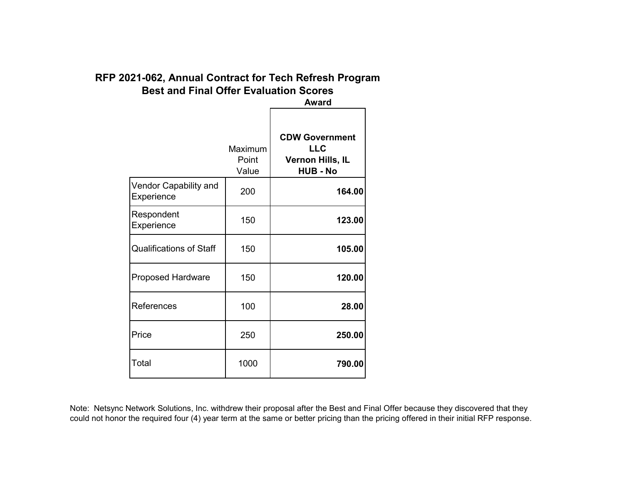# **RFP 2021-062, Annual Contract for Tech Refresh Program Best and Final Offer Evaluation Scores**

|                                     | <b>Award</b>              |                                                                            |  |
|-------------------------------------|---------------------------|----------------------------------------------------------------------------|--|
|                                     | Maximum<br>Point<br>Value | <b>CDW Government</b><br><b>LLC</b><br>Vernon Hills, IL<br><b>HUB - No</b> |  |
| Vendor Capability and<br>Experience | 200                       | 164.00                                                                     |  |
| Respondent<br>Experience            | 150                       | 123.00                                                                     |  |
| <b>Qualifications of Staff</b>      | 150                       | 105.00                                                                     |  |
| <b>Proposed Hardware</b>            | 150                       | 120.00                                                                     |  |
| References                          | 100                       | 28.00                                                                      |  |
| Price                               | 250                       | 250.00                                                                     |  |
| Total                               | 1000                      | 790.00                                                                     |  |
|                                     |                           |                                                                            |  |

Note: Netsync Network Solutions, Inc. withdrew their proposal after the Best and Final Offer because they discovered that they could not honor the required four (4) year term at the same or better pricing than the pricing offered in their initial RFP response.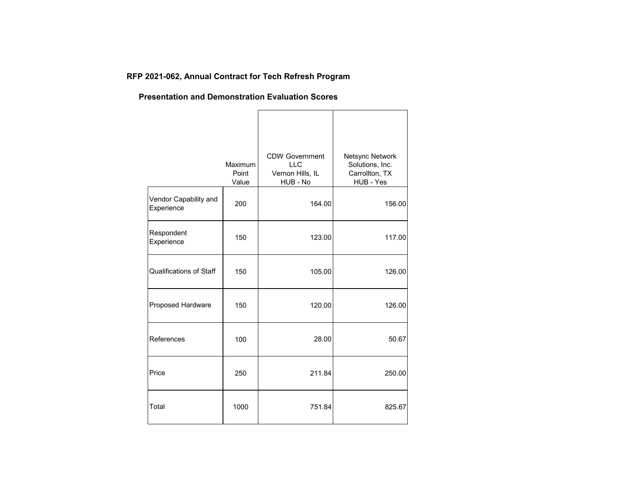# **RFP 2021-062, Annual Contract for Tech Refresh Program**

#### **Presentation and Demonstration Evaluation Scores**

|                                     | Maximum<br>Point<br>Value | <b>CDW Government</b><br><b>LLC</b><br>Vernon Hills, IL<br>HUB - No | Netsync Network<br>Solutions, Inc.<br>Carrollton, TX<br>HUB - Yes |
|-------------------------------------|---------------------------|---------------------------------------------------------------------|-------------------------------------------------------------------|
| Vendor Capability and<br>Experience | 200                       | 164.00                                                              | 156.00                                                            |
| Respondent<br>Experience            | 150                       | 123.00                                                              | 117.00                                                            |
| Qualifications of Staff             | 150                       | 105.00                                                              | 126.00                                                            |
| Proposed Hardware                   | 150                       | 120.00                                                              | 126.00                                                            |
| References                          | 100                       | 28.00                                                               | 50.67                                                             |
| Price                               | 250                       | 211.84                                                              | 250.00                                                            |
| Total                               | 1000                      | 751.84                                                              | 825.67                                                            |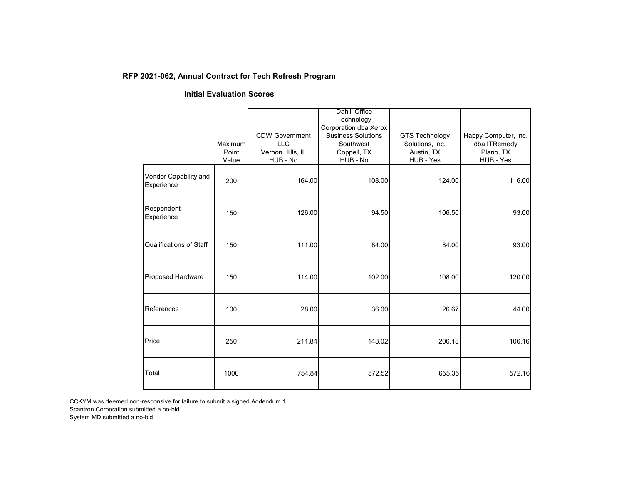### **RFP 2021-062, Annual Contract for Tech Refresh Program**

#### **Initial Evaluation Scores**

|                                     |                |                              | <b>Dahill Office</b><br>Technology                 |                         |                        |
|-------------------------------------|----------------|------------------------------|----------------------------------------------------|-------------------------|------------------------|
|                                     |                | <b>CDW Government</b>        | Corporation dba Xerox<br><b>Business Solutions</b> | <b>GTS Technology</b>   | Happy Computer, Inc.   |
|                                     | Maximum        | <b>LLC</b>                   | Southwest                                          | Solutions, Inc.         | dba ITRemedy           |
|                                     | Point<br>Value | Vernon Hills, IL<br>HUB - No | Coppell, TX<br>HUB - No                            | Austin, TX<br>HUB - Yes | Plano, TX<br>HUB - Yes |
| Vendor Capability and<br>Experience | 200            | 164.00                       | 108.00                                             | 124.00                  | 116.00                 |
| Respondent<br>Experience            | 150            | 126.00                       | 94.50                                              | 106.50                  | 93.00                  |
| Qualifications of Staff             | 150            | 111.00                       | 84.00                                              | 84.00                   | 93.00                  |
| Proposed Hardware                   | 150            | 114.00                       | 102.00                                             | 108.00                  | 120.00                 |
| References                          | 100            | 28.00                        | 36.00                                              | 26.67                   | 44.00                  |
| Price                               | 250            | 211.84                       | 148.02                                             | 206.18                  | 106.16                 |
| Total                               | 1000           | 754.84                       | 572.52                                             | 655.35                  | 572.16                 |

CCKYM was deemed non-responsive for failure to submit a signed Addendum 1.

Scantron Corporation submitted a no-bid.

System MD submitted a no-bid.